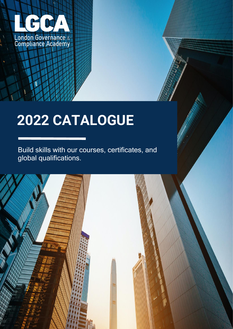

# **2022 CATALOGUE**

Build skills with our courses, certificates, and global qualifications.

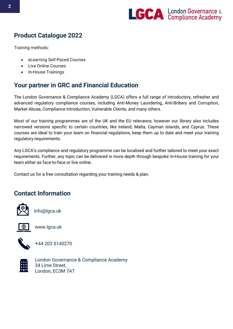

# **Product Catalogue 2022**

Training methods:

- eLearning Self-Paced Courses
- Live Online Courses
- In-House Trainings

## **Your partner in GRC and Financial Education**

The London Governance & Compliance Academy (LGCA) offers a full range of introductory, refresher and advanced regulatory compliance courses, including Anti-Money Laundering, Anti-Bribery and Corruption, Market Abuse, Compliance Introduction, Vulnerable Clients, and many others.

Most of our training programmes are of the UK and the EU relevance, however our library also includes narrowed versions specific to certain countries, like Ireland, Malta, Cayman Islands, and Cyprus. These courses are ideal to train your team on financial regulations, keep them up to date and meet your training regulatory requirements.

Any LGCA's compliance and regulatory programme can be localised and further tailored to meet your exact requirements. Further, any topic can be delivered in more depth through bespoke In-House training for your team either as face-to-face or live online.

Contact us for a free consultation regarding your training needs & plan.

#### **Contact Information**



info@lgca.uk



www.lgca.uk



+44 203 5140270



London Governance & Compliance Academy 34 Lime Street, London, EC3M 7AT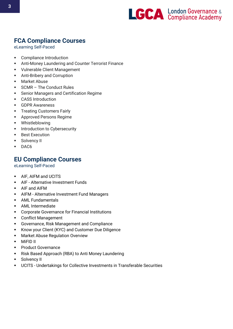

# **FCA Compliance Courses**

eLearning Self-Paced

- [Compliance Introduction](https://store.lgca.uk/product/compliance-introduction-course/)
- **■** [Anti-Money Laundering and Counter Terrorist Finance](https://store.lgca.uk/product/anti-money-laundering-and-counter-terrorist-finance/)
- Vulnerable Client Management
- [Anti-Bribery and Corruption](https://store.lgca.uk/product/anti-bribery-and-corruption/)
- **[Market Abuse](https://store.lgca.uk/product/market-abuse/)**
- SCMR [The Conduct Rules](https://store.lgca.uk/product/smcr-the-conduct-rules-2019-november-update/)
- **[Senior Managers and Certification Regime](https://store.lgca.uk/product/senior-managers-and-certification-regime/)**
- [CASS Introduction](https://store.lgca.uk/product/cass-introduction/)
- [GDPR Awareness](https://store.lgca.uk/product/gdpr-awareness/)
- **•** [Treating Customers Fairly](https://store.lgca.uk/product/treating-customers-fairly/)
- [Approved Persons Regime](https://store.lgca.uk/product/approved-persons-regime/)
- [Whistleblowing](https://store.lgca.uk/product/whistleblowing/)
- **■** [Introduction to Cybersecurity](https://store.lgca.uk/product/introduction-to-cybersecurity/)
- **[Best Execution](https://store.lgca.uk/product/best-execution/)**
- Solvency II
- DAC6

## **EU Compliance Courses**

eLearning Self-Paced

- **E** AIF, AIFM and UCITS
- **E** AIF Alternative Investment Funds
- AIF and AIFM
- AIFM Alternative Investment Fund Managers
- AML Fundamentals
- AML Intermediate
- Corporate Governance for Financial Institutions
- Conflict Management
- Governance, Risk Management and Compliance
- Know your Client (KYC) and Customer Due Diligence
- **Market Abuse Regulation Overview**
- **MiFID II**
- Product Governance
- Risk Based Approach (RBA) to Anti Money Laundering
- Solvency II
- UCITS Undertakings for Collective Investments in Transferable Securities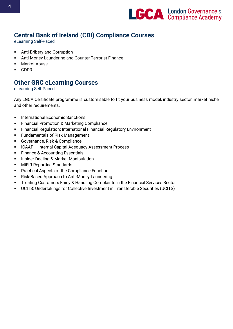

# **Central Bank of Ireland (CBI) Compliance Courses**

eLearning Self-Paced

- Anti-Bribery and Corruption
- [Anti-Money Laundering and Counter Terrorist Finance](https://store.lgca.uk/product/anti-money-laundering-and-counter-terrorist-finance/)
- **Market Abuse**
- GDPR

#### **Other GRC eLearning Courses**

eLearning Self-Paced

Any LGCA Certificate programme is customisable to fit your business model, industry sector, market niche and other requirements.

- International Economic Sanctions
- **EXECTED FINANCIAL PROMOTION COMPUTER** Financial Promotion & Marketing Compliance
- Financial Regulation: International Financial Regulatory Environment
- Fundamentals of Risk Management
- Governance, Risk & Compliance
- ICAAP Internal Capital Adequacy Assessment Process
- Finance & Accounting Essentials
- **Insider Dealing & Market Manipulation**
- MiFIR Reporting Standards
- Practical Aspects of the Compliance Function
- Risk-Based Approach to Anti-Money Laundering
- **•** Treating Customers Fairly & Handling Complaints in the Financial Services Sector
- UCITS: Undertakings for Collective Investment in Transferable Securities (UCITS)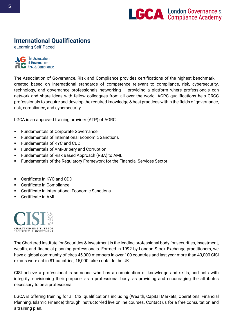

# **International Qualifications**

eLearning Self-Paced

**The Association** of Governance<br>Risk & Compliance

The Association of Governance, Risk and Compliance provides certifications of the highest benchmark – created based on international standards of competence relevant to compliance, risk, cybersecurity, technology, and governance professionals networking – providing a platform where professionals can network and share ideas with fellow colleagues from all over the world. AGRC qualifications help GRCC professionals to acquire and develop the required knowledge & best practices within the fields of governance, risk, compliance, and cybersecurity.

LGCA is an approved training provider (ATP) of AGRC.

- **Fundamentals of Corporate Governance**
- **Fundamentals of International Economic Sanctions**
- **Fundamentals of KYC and CDD**
- **Fundamentals of Anti-Bribery and Corruption**
- Fundamentals of Risk Based Approach (RBA) to AML
- Fundamentals of the Regulatory Framework for the Financial Services Sector
- Certificate in KYC and CDD
- Certificate in Compliance
- Certificate in International Economic Sanctions
- **Certificate in AMI**



The Chartered Institute for Securities & Investment is the leading professional body for securities, investment, wealth, and financial planning professionals. Formed in 1992 by London Stock Exchange practitioners, we have a global community of circa 45,000 members in over 100 countries and last year more than 40,000 CISI exams were sat in 81 countries, 15,000 taken outside the UK.

CISI believe a professional is someone who has a combination of knowledge and skills, and acts with integrity, envisioning their purpose, as a professional body, as providing and encouraging the attributes necessary to be a professional.

LGCA is offering training for all CISI qualifications including (Wealth, Capital Markets, Operations, Financial Planning, Islamic Finance) through instructor-led live online courses. Contact us for a free consultation and a training plan.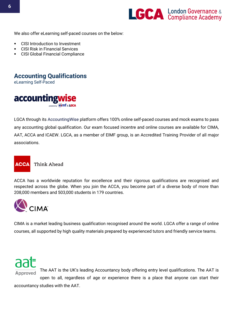

We also offer eLearning self-paced courses on the below:

- **CISI Introduction to Investment**
- **CISI Risk in Financial Services**
- **CISI Global Financial Compliance**

# **Accounting Qualifications**

eLearning Self-Paced



LGCA through its AccountingWise platform offers 100% online self-paced courses and mock exams to pass any accounting global qualification. Our exam focused incentre and online courses are available for CIMA, AAT, ACCA and ICAEW. LGCA, as a member of EIMF group, is an Accredited Training Provider of all major associations.



**Think Ahead** 

ACCA has a worldwide reputation for excellence and their rigorous qualifications are recognised and respected across the globe. When you join the ACCA, you become part of a diverse body of more than 208,000 members and 503,000 students in 179 countries.



CIMA is a market leading business qualification recognised around the world. LGCA offer a range of online courses, all supported by high quality materials prepared by experienced tutors and friendly service teams.



accountancy studies with the AAT.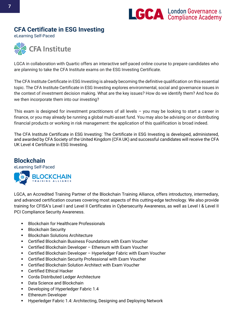

#### **CFA Certificate in ESG Investing**

eLearning Self-Paced



LGCA in collaboration with Quartic offers an interactive self-paced online course to prepare candidates who are planning to take the CFA Institute exams on the ESG Investing Certificate.

The CFA Institute Certificate in ESG Investing is already becoming the definitive qualification on this essential topic. The CFA Institute Certificate in ESG Investing explores environmental, social and governance issues in the context of investment decision making. What are the key issues? How do we identify them? And how do we then incorporate them into our investing?

This exam is designed for investment practitioners of all levels – you may be looking to start a career in finance, or you may already be running a global multi-asset fund. You may also be advising on or distributing financial products or working in risk management: the application of this qualification is broad indeed.

The CFA Institute Certificate in ESG Investing: The Certificate in ESG Investing is developed, administered, and awarded by CFA Society of the United Kingdom (CFA UK) and successful candidates will receive the CFA UK Level 4 Certificate in ESG Investing.

#### **Blockchain**

eLearning Self-Paced



LGCA, an Accredited Training Partner of the Blockchain Training Alliance, offers introductory, intermediary, and advanced certification courses covering most aspects of this cutting-edge technology. We also provide training for CFISA's Level I and Level II Certificates in Cybersecurity Awareness, as well as Level I & Level II PCI Compliance Security Awareness.

- **Blockchain for Healthcare Professionals**
- Blockchain Security
- Blockchain Solutions Architecture
- Certified Blockchain Business Foundations with Exam Voucher
- Certified Blockchain Developer Ethereum with Exam Voucher
- Certified Blockchain Developer Hyperledger Fabric with Exam Voucher
- Certified Blockchain Security Professional with Exam Voucher
- Certified Blockchain Solution Architect with Exam Voucher
- Certified Ethical Hacker
- Corda Distributed Ledger Architecture
- Data Science and Blockchain
- Developing of Hyperledger Fabric 1.4
- **Ethereum Developer**
- Hyperledger Fabric 1.4: Architecting, Designing and Deploying Network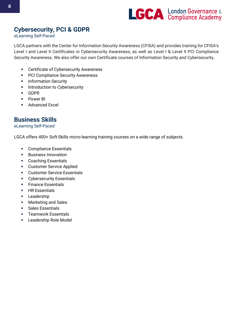

# **Cybersecurity, PCI & GDPR**

eLearning Self-Paced

LGCA partners with the Center for Information Security Awareness (CFISA) and provides training for CFISA's Level I and Level II Certificates in Cybersecurity Awareness, as well as Level I & Level II PCI Compliance Security Awareness. We also offer our own Certificate courses of Information Security and Cybersecurity.

- **EXEC** Certificate of Cybersecurity Awareness
- PCI Compliance Security Awareness
- **•** Information Security
- **·** Introduction to Cybersecurity
- GDPR
- Power BI
- Advanced Excel

## **Business Skills**

#### eLearning Self-Paced

LGCA offers 400+ Soft-Skills micro-learning training courses on a wide range of subjects.

- Compliance Essentials
- Business Innovation
- Coaching Essentials
- Customer Service Applied
- Customer Service Essentials
- Cybersecurity Essentials
- Finance Essentials
- **EXECUTE:** HR Essentials
- **•** Leadership
- Marketing and Sales
- Sales Essentials
- **EXECUTE:** Teamwork Essentials
- Leadership Role Model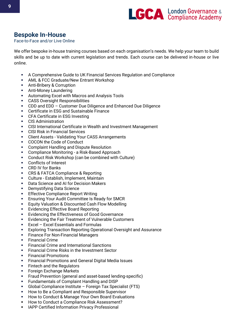

# **Bespoke In-House**

#### Face-to-Face and/or Live Online

We offer bespoke in-house training courses based on each organisation's needs. We help your team to build skills and be up to date with current legislation and trends. Each course can be delivered in-house or live online.

- A Comprehensive Guide to UK Financial Services Regulation and Compliance
- **AML & FCC Graduate/New Entrant Workshop**
- **E** Anti-Bribery & Corruption
- **E** Anti-Money Laundering
- **E** Automating Excel with Macros and Analysis Tools
- CASS Oversight Responsibilities
- CDD and EDD Customer Due Diligence and Enhanced Due Diligence
- Certificate in ESG and Sustainable Finance
- CFA Certificate in ESG Investing
- CIS Administration
- CISI International Certificate in Wealth and Investment Management
- **CISI Risk in Financial Services**
- Client Assets Validating Your CASS Arrangements
- COCON the Code of Conduct
- Complaint Handling and Dispute Resolution
- Compliance Monitoring a Risk-Based Approach
- Conduct Risk Workshop (can be combined with Culture)
- Conflicts of Interest
- CRD IV for Banks
- **CRS & FATCA Compliance & Reporting**
- Culture Establish, Implement, Maintain
- Data Science and AI for Decision Makers
- Demystifying Data Science
- **Effective Compliance Report Writing**
- **Ensuring Your Audit Committee Is Ready for SMCR**
- **Equity Valuation & Discounted Cash Flow Modelling**
- Evidencing Effective Board Reporting
- **Evidencing the Effectiveness of Good Governance**
- Evidencing the Fair Treatment of Vulnerable Customers
- Excel Excel Essentials and Formulas
- **Exploring Transaction Reporting Operational Oversight and Assurance**
- **Finance For Non-Financial Managers**
- Financial Crime
- Financial Crime and International Sanctions
- **EXECTED FINANCIAL CRIME RISKS in the Investment Sector**
- **Financial Promotions**
- Financial Promotions and General Digital Media Issues
- **EXECUTE:** Fintech and the Regulators
- Foreign Exchange Markets
- **•** Fraud Prevention (general and asset-based lending-specific)
- Fundamentals of Complaint Handling and DISP
- Global Compliance Institute Foreign Tax Specialist (FTS)
- How to Be a Compliant and Responsible Supervisor
- How to Conduct & Manage Your Own Board Evaluations
- [How to Conduct a Compliance Risk Assessment?](https://lgca.uk/event/how-to-conduct-a-compliance-risk-assessment/)
- **IAPP Certified Information Privacy Professional**